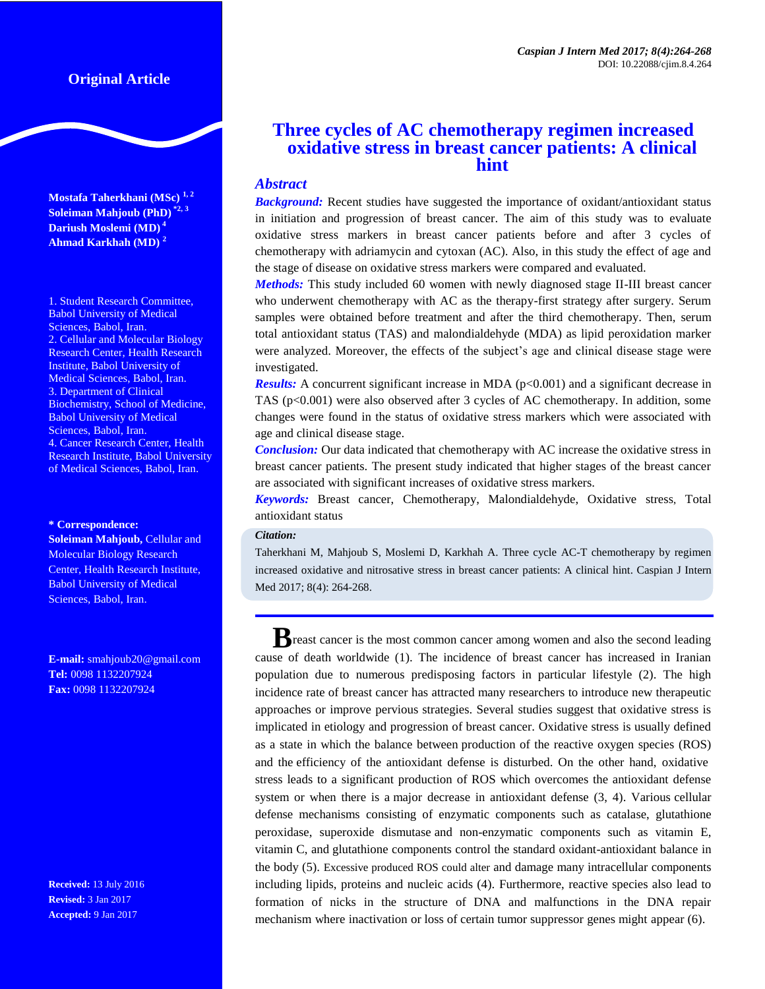**Mostafa Taherkhani (MSc) 1, <sup>2</sup> Soleiman Mahjoub (PhD) \*2, 3 Dariush Moslemi (MD) 4 Ahmad Karkhah (MD) <sup>2</sup>**

1. Student Research Committee, Babol University of Medical Sciences, Babol, Iran. 2. Cellular and Molecular Biology Research Center, Health Research Institute, Babol University of Medical Sciences, Babol, Iran. 3. Department of Clinical Biochemistry, School of Medicine, Babol University of Medical Sciences, Babol, Iran. 4. Cancer Research Center, Health Research Institute, Babol University of Medical Sciences, Babol, Iran.

#### **\* Correspondence:**

**Soleiman Mahjoub, Cellular and** Molecular Biology Research Center, Health Research Institute, Babol University of Medical Sciences, Babol, Iran.

**E-mail:** [smahjoub20@gmail.com](mailto:smahjoub20@gmail.com) **Tel:** 0098 1132207924 **Fax:** 0098 1132207924

**Received:** 13 July 2016 **Revised:** 3 Jan 2017 **Accepted:** 9 Jan 2017

# **Three cycles of AC chemotherapy regimen increased oxidative stress in breast cancer patients: A clinical hint**

## *Abstract*

*Background:* Recent studies have suggested the importance of oxidant/antioxidant status in initiation and progression of breast cancer. The aim of this study was to evaluate oxidative stress markers in breast cancer patients before and after 3 cycles of chemotherapy with adriamycin and cytoxan (AC). Also, in this study the effect of age and the stage of disease on oxidative stress markers were compared and evaluated.

*Methods:* This study included 60 women with newly diagnosed stage II-III breast cancer who underwent chemotherapy with AC as the therapy-first strategy after surgery. Serum samples were obtained before treatment and after the third chemotherapy. Then, serum total antioxidant status (TAS) and malondialdehyde (MDA) as lipid peroxidation marker were analyzed. Moreover, the effects of the subject's age and clinical disease stage were investigated.

*Results:* A concurrent significant increase in MDA (p<0.001) and a significant decrease in TAS (p<0.001) were also observed after 3 cycles of AC chemotherapy. In addition, some changes were found in the status of oxidative stress markers which were associated with age and clinical disease stage.

*Conclusion:* Our data indicated that chemotherapy with AC increase the oxidative stress in breast cancer patients. The present study indicated that higher stages of the breast cancer are associated with significant increases of oxidative stress markers.

*Keywords:* Breast cancer, Chemotherapy, Malondialdehyde, Oxidative stress, Total antioxidant status

### *Citation:*

Taherkhani M, Mahjoub S, Moslemi D, Karkhah A. Three cycle AC-T chemotherapy by regimen increased oxidative and nitrosative stress in breast cancer patients: A clinical hint. Caspian J Intern Med 2017; 8(4): 264-268.

**B**reast cancer is the most common cancer among women and also the second leading cause of death worldwide (1). The incidence of breast cancer has increased in Iranian population due to numerous predisposing factors in particular lifestyle (2). The high incidence rate of breast cancer has attracted many researchers to introduce new therapeutic approaches or improve pervious strategies. Several studies suggest that oxidative stress is implicated in etiology and progression of breast cancer. Oxidative stress is usually defined as a state in which the balance between production of the reactive oxygen species (ROS) and the efficiency of the antioxidant defense is disturbed. On the other hand, oxidative stress leads to a significant production of ROS which overcomes the antioxidant defense system or when there is a major decrease in antioxidant defense (3, 4). Various cellular defense mechanisms consisting of enzymatic components such as catalase, glutathione peroxidase, superoxide dismutase and non-enzymatic components such as vitamin E, vitamin C, and glutathione components control the standard oxidant-antioxidant balance in the body (5). Excessive produced ROS could alter and damage many intracellular components including lipids, proteins and nucleic acids (4). Furthermore, reactive species also lead to formation of nicks in the structure of DNA and malfunctions in the DNA repair mechanism where inactivation or loss of certain tumor suppressor genes might appear (6).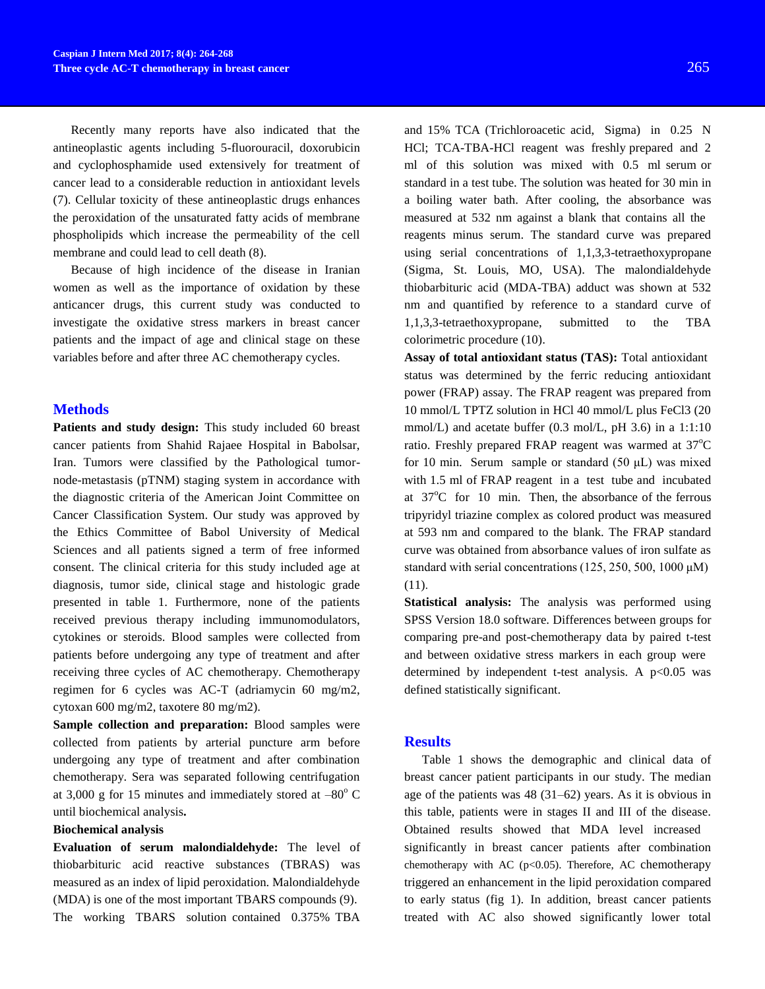Recently many reports have also indicated that the antineoplastic agents including 5-fluorouracil, doxorubicin and cyclophosphamide used extensively for treatment of cancer lead to a considerable reduction in antioxidant levels (7). Cellular toxicity of these antineoplastic drugs enhances the peroxidation of the unsaturated fatty acids of membrane phospholipids which increase the permeability of the cell membrane and could lead to cell death (8).

Because of high incidence of the disease in Iranian women as well as the importance of oxidation by these anticancer drugs, this current study was conducted to investigate the oxidative stress markers in breast cancer patients and the impact of age and clinical stage on these variables before and after three AC chemotherapy cycles.

## **Methods**

**Patients and study design:** This study included 60 breast cancer patients from Shahid Rajaee Hospital in Babolsar, Iran. Tumors were classified by the Pathological tumornode-metastasis (pTNM) staging system in accordance with the diagnostic criteria of the American Joint Committee on Cancer Classification System. Our study was approved by the Ethics Committee of Babol University of Medical Sciences and all patients signed a term of free informed consent. The clinical criteria for this study included age at diagnosis, tumor side, clinical stage and histologic grade presented in table 1. Furthermore, none of the patients received previous therapy including immunomodulators, cytokines or steroids. Blood samples were collected from patients before undergoing any type of treatment and after receiving three cycles of AC chemotherapy. Chemotherapy regimen for 6 cycles was AC-T (adriamycin 60 mg/m2, cytoxan 600 mg/m2, taxotere 80 mg/m2).

**Sample collection and preparation:** Blood samples were collected from patients by arterial puncture arm before undergoing any type of treatment and after combination chemotherapy. Sera was separated following centrifugation at 3,000 g for 15 minutes and immediately stored at  $-80^{\circ}$  C until biochemical analysis**.**

#### **Biochemical analysis**

**Evaluation of serum malondialdehyde:** The level of thiobarbituric acid reactive substances (TBRAS) was measured as an index of lipid peroxidation. Malondialdehyde (MDA) is one of the most important TBARS compounds (9). The working TBARS solution contained 0.375% TBA

and 15% TCA (Trichloroacetic acid, Sigma) in 0.25 N HCl; TCA-TBA-HCl reagent was freshly prepared and 2 ml of this solution was mixed with 0.5 ml serum or standard in a test tube. The solution was heated for 30 min in a boiling water bath. After cooling, the absorbance was measured at 532 nm against a blank that contains all the reagents minus serum. The standard curve was prepared using serial concentrations of 1,1,3,3-tetraethoxypropane (Sigma, St. Louis, MO, USA). The malondialdehyde thiobarbituric acid (MDA-TBA) adduct was shown at 532 nm and quantified by reference to a standard curve of 1,1,3,3-tetraethoxypropane, submitted to the TBA colorimetric procedure (10).

**Assay of total antioxidant status (TAS):** Total antioxidant status was determined by the ferric reducing antioxidant power (FRAP) assay. The FRAP reagent was prepared from 10 mmol/L TPTZ solution in HCl 40 mmol/L plus FeCl3 (20 mmol/L) and acetate buffer (0.3 mol/L, pH 3.6) in a 1:1:10 ratio. Freshly prepared FRAP reagent was warmed at  $37^{\circ}$ C for 10 min. Serum sample or standard  $(50 \mu L)$  was mixed with 1.5 ml of FRAP reagent in a test tube and incubated at  $37^{\circ}$ C for 10 min. Then, the absorbance of the ferrous tripyridyl triazine complex as colored product was measured at 593 nm and compared to the blank. The FRAP standard curve was obtained from absorbance values of iron sulfate as standard with serial concentrations  $(125, 250, 500, 1000 \mu M)$ (11).

**Statistical analysis:** The analysis was performed using SPSS Version 18.0 software. Differences between groups for comparing pre-and post-chemotherapy data by paired t-test and between oxidative stress markers in each group were determined by independent t-test analysis. A  $p<0.05$  was defined statistically significant.

### **Results**

Table 1 shows the demographic and clinical data of breast cancer patient participants in our study. The median age of the patients was 48 (31–62) years. As it is obvious in this table, patients were in stages II and III of the disease. Obtained results showed that MDA level increased significantly in breast cancer patients after combination chemotherapy with AC ( $p<0.05$ ). Therefore, AC chemotherapy triggered an enhancement in the lipid peroxidation compared to early status (fig 1). In addition, breast cancer patients treated with AC also showed significantly lower total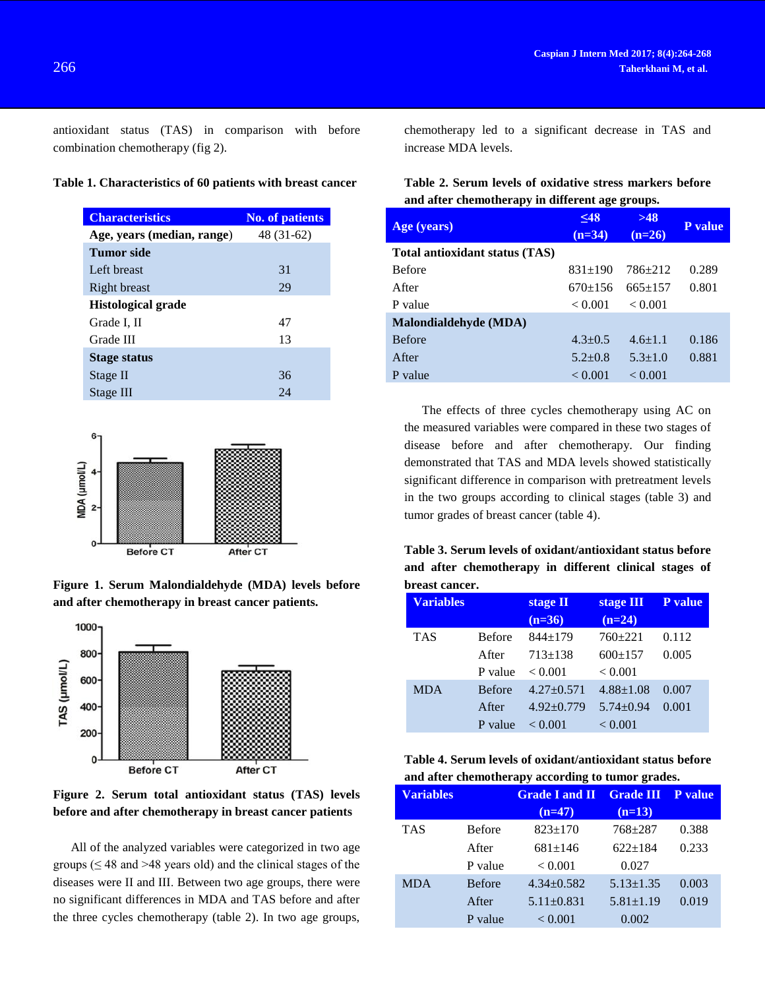antioxidant status (TAS) in comparison with before combination chemotherapy (fig 2).

### **Table 1. Characteristics of 60 patients with breast cancer**

| <b>Characteristics</b>     | <b>No. of patients</b> |  |
|----------------------------|------------------------|--|
| Age, years (median, range) | 48 (31-62)             |  |
| Tumor side                 |                        |  |
| Left breast                | 31                     |  |
| Right breast               | 29                     |  |
| <b>Histological grade</b>  |                        |  |
| Grade I, II                | 47                     |  |
| Grade III                  | 13                     |  |
| Stage status               |                        |  |
| Stage II                   | 36                     |  |
| Stage III                  | 24                     |  |



**Figure 1. Serum Malondialdehyde (MDA) levels before and after chemotherapy in breast cancer patients.**



**Figure 2. Serum total antioxidant status (TAS) levels before and after chemotherapy in breast cancer patients**

All of the analyzed variables were categorized in two age groups ( $\leq 48$  and  $>48$  years old) and the clinical stages of the diseases were II and III. Between two age groups, there were no significant differences in MDA and TAS before and after the three cycles chemotherapy (table 2). In two age groups,

chemotherapy led to a significant decrease in TAS and increase MDA levels.

# **Table 2. Serum levels of oxidative stress markers before and after chemotherapy in different age groups.**

| Age (years)                    | $\leq 48$<br>$(n=34)$ | >48<br>$(n=26)$ | <b>P</b> value |
|--------------------------------|-----------------------|-----------------|----------------|
| Total antioxidant status (TAS) |                       |                 |                |
| <b>Before</b>                  | $831 \pm 190$         | $786 + 212$     | 0.289          |
| <b>After</b>                   | $670 \pm 156$         | $665+157$       | 0.801          |
| P value                        | < 0.001               | < 0.001         |                |
| Malondialdehyde (MDA)          |                       |                 |                |
| <b>Before</b>                  | $4.3 + 0.5$           | $4.6 \pm 1.1$   | 0.186          |
| After                          | $5.2 + 0.8$           | $5.3 + 1.0$     | 0.881          |
| P value                        | < 0.001               | < 0.001         |                |

The effects of three cycles chemotherapy using AC on the measured variables were compared in these two stages of disease before and after chemotherapy. Our finding demonstrated that TAS and MDA levels showed statistically significant difference in comparison with pretreatment levels in the two groups according to clinical stages (table 3) and tumor grades of breast cancer (table 4).

**Table 3. Serum levels of oxidant/antioxidant status before and after chemotherapy in different clinical stages of breast cancer.**

| <u>MI CUIDE CUITCH I</u> |               |              |                 |         |  |
|--------------------------|---------------|--------------|-----------------|---------|--|
| <b>Variables</b>         |               | stage II     | stage III       | P value |  |
|                          |               | $(n=36)$     | $(n=24)$        |         |  |
| <b>TAS</b>               | <b>Before</b> | $844+179$    | $760+221$       | 0.112   |  |
|                          | After         | $713+138$    | $600+157$       | 0.005   |  |
|                          | P value       | < 0.001      | < 0.001         |         |  |
| <b>MDA</b>               | <b>Before</b> | $4.27+0.571$ | $4.88 \pm 1.08$ | 0.007   |  |
|                          | After         | $4.92+0.779$ | $5.74 \pm 0.94$ | 0.001   |  |
|                          | P value       | < 0.001      | < 0.001         |         |  |

| Table 4. Serum levels of oxidant/antioxidant status before |
|------------------------------------------------------------|
| and after chemotherapy according to tumor grades.          |

| <b>Variables</b> |               | <b>Grade I and II</b> | <b>Grade III P value</b> |       |
|------------------|---------------|-----------------------|--------------------------|-------|
|                  |               | $(n=47)$              | $(n=13)$                 |       |
| <b>TAS</b>       | <b>Before</b> | $823 \pm 170$         | 768 ± 287                | 0.388 |
|                  | After         | $681 \pm 146$         | $622+184$                | 0.233 |
|                  | P value       | < 0.001               | 0.027                    |       |
| <b>MDA</b>       | <b>Before</b> | $4.34 + 0.582$        | $5.13 \pm 1.35$          | 0.003 |
|                  | After         | $5.11 \pm 0.831$      | $5.81 \pm 1.19$          | 0.019 |
|                  | P value       | ${}_{< 0.001}$        | 0.002                    |       |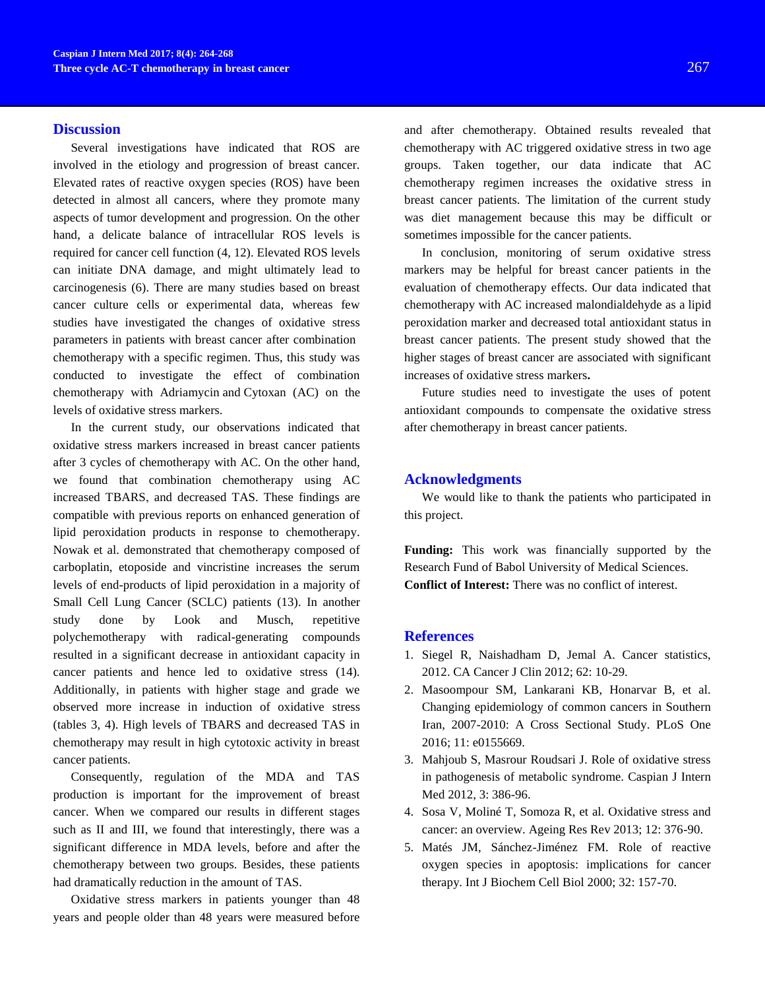### **Discussion**

Several investigations have indicated that ROS are involved in the etiology and progression of breast cancer. Elevated rates of reactive oxygen species (ROS) have been detected in almost all cancers, where they promote many aspects of tumor development and progression. On the other hand, a delicate balance of intracellular ROS levels is required for cancer cell function [\(4,](#page-3-0) [12\)](#page-4-0). Elevated ROS levels can initiate DNA damage, and might ultimately lead to carcinogenesis (6). There are many studies based on breast cancer culture cells or experimental data, whereas few studies have investigated the changes of oxidative stress parameters in patients with breast cancer after combination chemotherapy with a specific regimen. Thus, this study was conducted to investigate the effect of combination chemotherapy with Adriamycin and Cytoxan (AC) on the levels of oxidative stress markers.

In the current study, our observations indicated that oxidative stress markers increased in breast cancer patients after 3 cycles of chemotherapy with AC. On the other hand, we found that combination chemotherapy using AC increased TBARS, and decreased TAS. These findings are compatible with previous reports on enhanced generation of lipid peroxidation products in response to chemotherapy. [Nowak e](http://www.ncbi.nlm.nih.gov/pubmed/?term=Nowak%20D%5BAuthor%5D&cauthor=true&cauthor_uid=15890507)t al. demonstrated that chemotherapy composed of carboplatin, etoposide and vincristine increases the serum levels of end-products of lipid peroxidation in a majority of Small Cell Lung Cancer (SCLC) patients (13). In another study done by Look and Musch, repetitive polychemotherapy with radical-generating compounds resulted in a significant decrease in antioxidant capacity in cancer patients and hence led to oxidative stress (14). Additionally, in patients with higher stage and grade we observed more increase in induction of oxidative stress (tables 3, 4). High levels of TBARS and decreased TAS in chemotherapy may result in high cytotoxic activity in breast cancer patients.

Consequently, regulation of the MDA and TAS production is important for the improvement of breast cancer. When we compared our results in different stages such as II and III, we found that interestingly, there was a significant difference in MDA levels, before and after the chemotherapy between two groups. Besides, these patients had dramatically reduction in the amount of TAS.

Oxidative stress markers in patients younger than 48 years and people older than 48 years were measured before

and after chemotherapy. Obtained results revealed that chemotherapy with AC triggered oxidative stress in two age groups. Taken together, our data indicate that AC chemotherapy regimen increases the oxidative stress in breast cancer patients. The limitation of the current study was diet management because this may be difficult or sometimes impossible for the cancer patients.

In conclusion, monitoring of serum oxidative stress markers may be helpful for breast cancer patients in the evaluation of chemotherapy effects. Our data indicated that chemotherapy with AC increased malondialdehyde as a lipid peroxidation marker and decreased total antioxidant status in breast cancer patients. The present study showed that the higher stages of breast cancer are associated with significant increases of oxidative stress markers**.**

Future studies need to investigate the uses of potent antioxidant compounds to compensate the oxidative stress after chemotherapy in breast cancer patients.

### **Acknowledgments**

We would like to thank the patients who participated in this project.

**Funding:** This work was financially supported by the Research Fund of Babol University of Medical Sciences. **Conflict of Interest:** There was no conflict of interest.

#### **References**

- 1. Siegel R, Naishadham D, Jemal A. Cancer statistics, 2012. CA Cancer J Clin 2012; 62: 10-29.
- 2. Masoompour SM, Lankarani KB, Honarvar B, et al. Changing epidemiology of common cancers in Southern Iran, 2007-2010: A Cross Sectional Study. PLoS One 2016; 11: e0155669.
- 3. Mahjoub S, Masrour Roudsari J. Role of oxidative stress in pathogenesis of metabolic syndrome. Caspian J Intern Med 2012, 3: 386-96.
- <span id="page-3-0"></span>4. Sosa V, Moliné T, Somoza R, et al. Oxidative stress and cancer: an overview. Ageing Res Rev 2013; 12: 376-90.
- 5. Matés JM, Sánchez-Jiménez FM. Role of reactive oxygen species in apoptosis: implications for cancer therapy. Int J Biochem Cell Biol 2000; 32: 157-70.